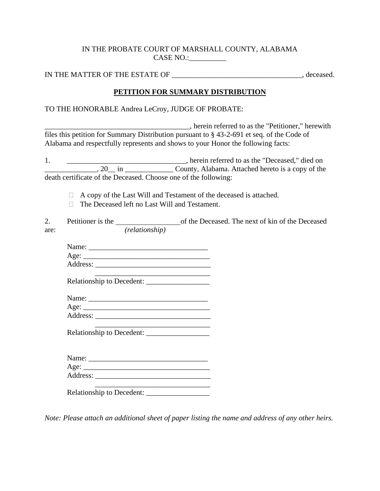### IN THE PROBATE COURT OF MARSHALL COUNTY, ALABAMA CASE NO.:

IN THE MATTER OF THE ESTATE OF  $\blacksquare$ 

## **PETITION FOR SUMMARY DISTRIBUTION**

## TO THE HONORABLE Andrea LeCroy, JUDGE OF PROBATE:

\_\_\_\_\_\_\_\_\_\_\_\_\_\_\_\_\_\_\_\_\_\_\_\_\_\_\_\_\_\_\_\_\_\_\_\_\_\_\_, herein referred to as the "Petitioner," herewith files this petition for Summary Distribution pursuant to § 43-2-691 et seq. of the Code of Alabama and respectfully represents and shows to your Honor the following facts:

1. \_\_\_\_\_\_\_\_\_\_\_\_\_\_\_\_\_\_\_\_\_\_\_\_\_\_\_\_\_\_\_, herein referred to as the "Deceased," died on  $\overline{\phantom{a}}$ , 20 in  $\overline{\phantom{a}}$  in  $\overline{\phantom{a}}$  County, Alabama. Attached hereto is a copy of the death certificate of the Deceased. Choose one of the following:

 $\Box$  A copy of the Last Will and Testament of the deceased is attached.

 $\Box$  The Deceased left no Last Will and Testament.

|      | Petitioner is the |                       | of the Deceased. The next of kin of the Deceased |
|------|-------------------|-----------------------|--------------------------------------------------|
| are: |                   | <i>(relationship)</i> |                                                  |

| Name:    |  |  |  |
|----------|--|--|--|
| Age:     |  |  |  |
| Address: |  |  |  |

 $\overline{\phantom{a}}$  , where the contract of the contract of the contract of the contract of the contract of the contract of the contract of the contract of the contract of the contract of the contract of the contract of the contr

Relationship to Decedent: \_\_\_\_\_\_\_\_\_\_\_\_\_\_\_\_\_

| Name: |  |  |
|-------|--|--|
|       |  |  |

| Age:     |  |  |  |
|----------|--|--|--|
| Address: |  |  |  |

 $\overline{\phantom{a}}$  , where the contract of the contract of the contract of the contract of the contract of the contract of the contract of the contract of the contract of the contract of the contract of the contract of the contr Relationship to Decedent:

| Name:                         |  |  |
|-------------------------------|--|--|
| Age: $\overline{\phantom{a}}$ |  |  |
| Address:                      |  |  |
|                               |  |  |

Relationship to Decedent: \_\_\_\_\_\_\_\_\_\_\_\_\_\_\_\_\_

*Note: Please attach an additional sheet of paper listing the name and address of any other heirs.*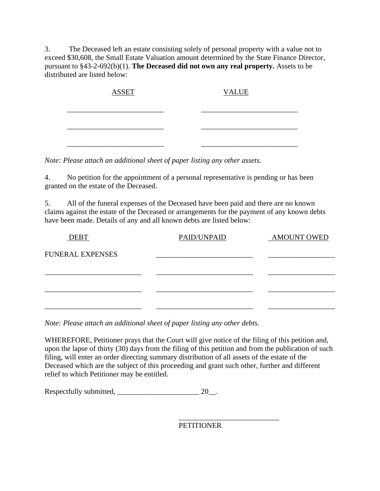3. The Deceased left an estate consisting solely of personal property with a value not to exceed \$30,608, the Small Estate Valuation amount determined by the State Finance Director, pursuant to §43-2-692(b)(1). **The Deceased did not own any real property.** Assets to be distributed are listed below:

| <b>ASSET</b> | <b>VALUE</b> |
|--------------|--------------|
|              |              |
|              |              |
|              |              |
|              |              |

*Note: Please attach an additional sheet of paper listing any other assets.*

4. No petition for the appointment of a personal representative is pending or has been granted on the estate of the Deceased.

5. All of the funeral expenses of the Deceased have been paid and there are no known claims against the estate of the Deceased or arrangements for the payment of any known debts have been made. Details of any and all known debts are listed below:

| <b>DEBT</b>             | PAID/UNPAID | <b>AMOUNT OWED</b> |
|-------------------------|-------------|--------------------|
| <b>FUNERAL EXPENSES</b> |             |                    |
|                         |             |                    |
|                         |             |                    |
|                         |             |                    |
|                         |             |                    |

*Note: Please attach an additional sheet of paper listing any other debts.*

WHEREFORE, Petitioner prays that the Court will give notice of the filing of this petition and, upon the lapse of thirty (30) days from the filing of this petition and from the publication of such filing, will enter an order directing summary distribution of all assets of the estate of the Deceased which are the subject of this proceeding and grant such other, further and different relief to which Petitioner may be entitled.

Respectfully submitted, \_\_\_\_\_\_\_\_\_\_\_\_\_\_\_\_\_\_\_\_\_\_ 20\_\_.

PETITIONER

\_\_\_\_\_\_\_\_\_\_\_\_\_\_\_\_\_\_\_\_\_\_\_\_\_\_\_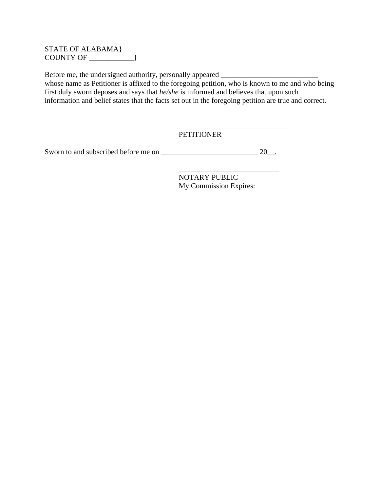#### STATE OF ALABAMA} COUNTY OF \_\_\_\_\_\_\_\_\_\_\_\_}

Before me, the undersigned authority, personally appeared \_\_\_\_\_\_\_\_\_\_\_\_\_\_\_\_\_\_\_\_\_\_\_ whose name as Petitioner is affixed to the foregoing petition, who is known to me and who being first duly sworn deposes and says that *he/she* is informed and believes that upon such information and belief states that the facts set out in the foregoing petition are true and correct.

## PETITIONER

Sworn to and subscribed before me on \_\_\_\_\_\_\_\_\_\_\_\_\_\_\_\_\_\_\_\_\_\_\_\_\_\_ 20\_\_.

NOTARY PUBLIC My Commission Expires:

\_\_\_\_\_\_\_\_\_\_\_\_\_\_\_\_\_\_\_\_\_\_\_\_\_\_\_\_\_\_

\_\_\_\_\_\_\_\_\_\_\_\_\_\_\_\_\_\_\_\_\_\_\_\_\_\_\_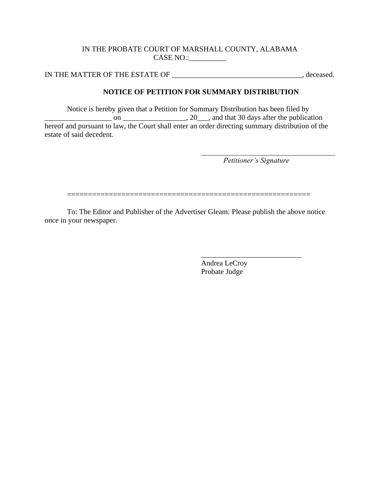#### IN THE PROBATE COURT OF MARSHALL COUNTY, ALABAMA CASE NO.:\_\_\_\_\_\_\_\_\_\_

IN THE MATTER OF THE ESTATE OF \_\_\_\_\_\_\_\_\_\_\_\_\_\_\_\_\_\_\_\_\_\_\_\_\_\_\_\_\_\_\_\_\_\_\_, deceased.

# **NOTICE OF PETITION FOR SUMMARY DISTRIBUTION**

Notice is hereby given that a Petition for Summary Distribution has been filed by  $\overline{\phantom{a}}$  on  $\overline{\phantom{a}}$  on  $\overline{\phantom{a}}$ , 20, and that 30 days after the publication hereof and pursuant to law, the Court shall enter an order directing summary distribution of the estate of said decedent.

*Petitioner's Signature*

\_\_\_\_\_\_\_\_\_\_\_\_\_\_\_\_\_\_\_\_\_\_\_\_\_\_\_

==========================================================

To: The Editor and Publisher of the Advertiser Gleam: Please publish the above notice once in your newspaper.

> Andrea LeCroy Probate Judge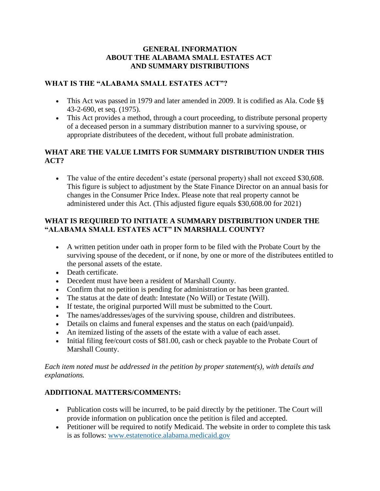## **GENERAL INFORMATION ABOUT THE ALABAMA SMALL ESTATES ACT AND SUMMARY DISTRIBUTIONS**

## **WHAT IS THE "ALABAMA SMALL ESTATES ACT"?**

- This Act was passed in 1979 and later amended in 2009. It is codified as Ala. Code §§ 43-2-690, et seq. (1975).
- This Act provides a method, through a court proceeding, to distribute personal property of a deceased person in a summary distribution manner to a surviving spouse, or appropriate distributees of the decedent, without full probate administration.

## **WHAT ARE THE VALUE LIMITS FOR SUMMARY DISTRIBUTION UNDER THIS ACT?**

• The value of the entire decedent's estate (personal property) shall not exceed \$30,608. This figure is subject to adjustment by the State Finance Director on an annual basis for changes in the Consumer Price Index. Please note that real property cannot be administered under this Act. (This adjusted figure equals \$30,608.00 for 2021)

# **WHAT IS REQUIRED TO INITIATE A SUMMARY DISTRIBUTION UNDER THE "ALABAMA SMALL ESTATES ACT" IN MARSHALL COUNTY?**

- A written petition under oath in proper form to be filed with the Probate Court by the surviving spouse of the decedent, or if none, by one or more of the distributees entitled to the personal assets of the estate.
- Death certificate.
- Decedent must have been a resident of Marshall County.
- Confirm that no petition is pending for administration or has been granted.
- The status at the date of death: Intestate (No Will) or Testate (Will).
- If testate, the original purported Will must be submitted to the Court.
- The names/addresses/ages of the surviving spouse, children and distributees.
- Details on claims and funeral expenses and the status on each (paid/unpaid).
- An itemized listing of the assets of the estate with a value of each asset.
- Initial filing fee/court costs of \$81.00, cash or check payable to the Probate Court of Marshall County.

## *Each item noted must be addressed in the petition by proper statement(s), with details and explanations.*

# **ADDITIONAL MATTERS/COMMENTS:**

- Publication costs will be incurred, to be paid directly by the petitioner. The Court will provide information on publication once the petition is filed and accepted.
- Petitioner will be required to notify Medicaid. The website in order to complete this task is as follows: [www.estatenotice.alabama.medicaid.gov](http://www.estatenotice.alabama.medicaid.gov/)